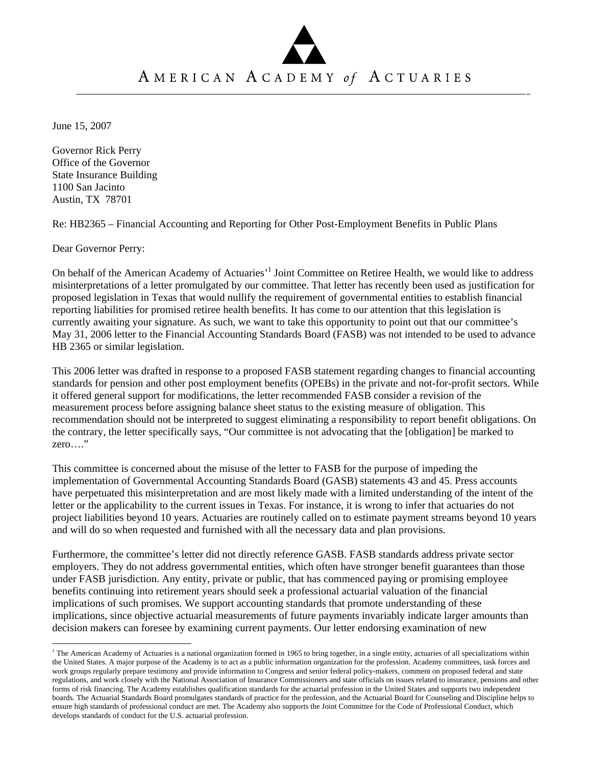## AMERICAN ACADEMY of ACTUARIES

June 15, 2007

Governor Rick Perry Office of the Governor State Insurance Building 1100 San Jacinto Austin, TX 78701

Re: HB2365 – Financial Accounting and Reporting for Other Post-Employment Benefits in Public Plans

Dear Governor Perry:

 $\overline{a}$ 

On behalf of the American Academy of Actuaries'<sup>1</sup> Joint Committee on Retiree Health, we would like to address misinterpretations of a letter promulgated by our committee. That letter has recently been used as justification for proposed legislation in Texas that would nullify the requirement of governmental entities to establish financial reporting liabilities for promised retiree health benefits. It has come to our attention that this legislation is currently awaiting your signature. As such, we want to take this opportunity to point out that our committee's May 31, 2006 letter to the Financial Accounting Standards Board (FASB) was not intended to be used to advance HB 2365 or similar legislation.

This 2006 letter was drafted in response to a proposed FASB statement regarding changes to financial accounting standards for pension and other post employment benefits (OPEBs) in the private and not-for-profit sectors. While it offered general support for modifications, the letter recommended FASB consider a revision of the measurement process before assigning balance sheet status to the existing measure of obligation. This recommendation should not be interpreted to suggest eliminating a responsibility to report benefit obligations. On the contrary, the letter specifically says, "Our committee is not advocating that the [obligation] be marked to zero…."

This committee is concerned about the misuse of the letter to FASB for the purpose of impeding the implementation of Governmental Accounting Standards Board (GASB) statements 43 and 45. Press accounts have perpetuated this misinterpretation and are most likely made with a limited understanding of the intent of the letter or the applicability to the current issues in Texas. For instance, it is wrong to infer that actuaries do not project liabilities beyond 10 years. Actuaries are routinely called on to estimate payment streams beyond 10 years and will do so when requested and furnished with all the necessary data and plan provisions.

Furthermore, the committee's letter did not directly reference GASB. FASB standards address private sector employers. They do not address governmental entities, which often have stronger benefit guarantees than those under FASB jurisdiction. Any entity, private or public, that has commenced paying or promising employee benefits continuing into retirement years should seek a professional actuarial valuation of the financial implications of such promises. We support accounting standards that promote understanding of these implications, since objective actuarial measurements of future payments invariably indicate larger amounts than decision makers can foresee by examining current payments. Our letter endorsing examination of new

<sup>&</sup>lt;sup>1</sup> The American Academy of Actuaries is a national organization formed in 1965 to bring together, in a single entity, actuaries of all specializations within the United States. A major purpose of the Academy is to act as a public information organization for the profession. Academy committees, task forces and work groups regularly prepare testimony and provide information to Congress and senior federal policy-makers, comment on proposed federal and state regulations, and work closely with the National Association of Insurance Commissioners and state officials on issues related to insurance, pensions and other forms of risk financing. The Academy establishes qualification standards for the actuarial profession in the United States and supports two independent boards. The Actuarial Standards Board promulgates standards of practice for the profession, and the Actuarial Board for Counseling and Discipline helps to ensure high standards of professional conduct are met. The Academy also supports the Joint Committee for the Code of Professional Conduct, which develops standards of conduct for the U.S. actuarial profession.